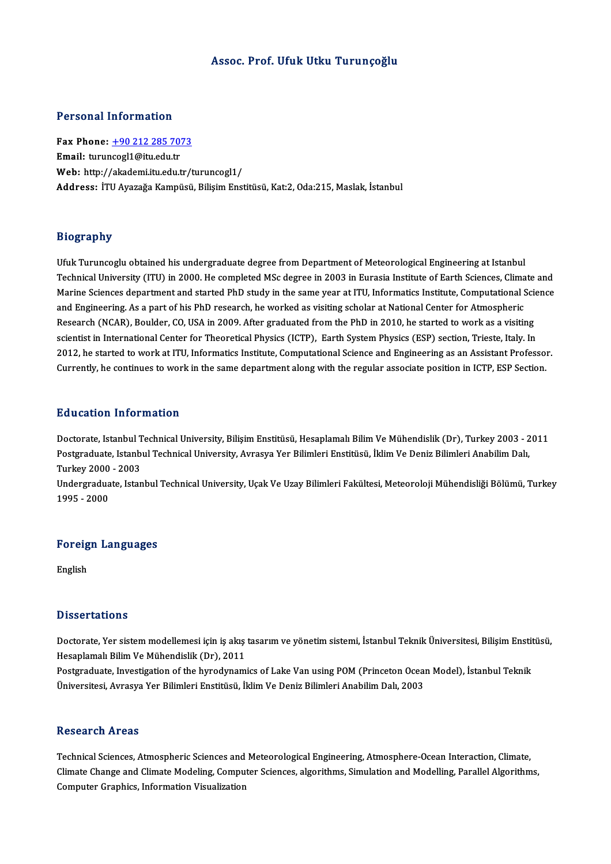#### Assoc. Prof. Ufuk Utku Turunçoğlu

### Personal Information

Personal Information<br>Fax Phone: <u>+90 212 285 7073</u><br>Email: turunces[1@itu.edu.tr Fax Phone: <u>+90 212 285 70'</u><br>Email: turun[cogl1@itu.edu.tr](tel:+90 212 285 7073)<br>Web. http://akademi.tr.edu.tr Email: turuncogl1@itu.edu.tr<br>Web: http://akademi.itu.edu.tr/turuncogl1/ Address: İTU Ayazağa Kampüsü, Bilisim Enstitüsü, Kat:2, Oda:215, Maslak, İstanbul

#### Biography

Ufuk Turuncoglu obtained his undergraduate degree from Department of Meteorological Engineering at Istanbul Trograpsiy<br>Ufuk Turuncoglu obtained his undergraduate degree from Department of Meteorological Engineering at Istanbul<br>Technical University (ITU) in 2000. He completed MSc degree in 2003 in Eurasia Institute of Earth Scien Ufuk Turuncoglu obtained his undergraduate degree from Department of Meteorological Engineering at Istanbul<br>Technical University (ITU) in 2000. He completed MSc degree in 2003 in Eurasia Institute of Earth Sciences, Climat Technical University (ITU) in 2000. He completed MSc degree in 2003 in Eurasia Institute of Earth Sciences, Clima<br>Marine Sciences department and started PhD study in the same year at ITU, Informatics Institute, Computation Marine Sciences department and started PhD study in the same year at ITU, Informatics Institute, Computational Science<br>and Engineering. As a part of his PhD research, he worked as visiting scholar at National Center for At scientist in International Center for Theoretical Physics (ICTP), Earth System Physics (ESP) section, Trieste, Italy. In Research (NCAR), Boulder, CO, USA in 2009. After graduated from the PhD in 2010, he started to work as a visiting<br>scientist in International Center for Theoretical Physics (ICTP), Earth System Physics (ESP) section, Triest scientist in International Center for Theoretical Physics (ICTP), Earth System Physics (ESP) section, Trieste, Italy. In<br>2012, he started to work at ITU, Informatics Institute, Computational Science and Engineering as an A Currently, he continues to work in the same department along with the regular associate position in ICTP, ESP Section.<br>Education Information

Education Information<br>Doctorate, Istanbul Technical University, Bilişim Enstitüsü, Hesaplamalı Bilim Ve Mühendislik (Dr), Turkey 2003 - 2011<br>Postaraduata Istanbul Technical University, Ayrasya Ver Bilimlori Enstitüsü, İldi Pu u outron Trivot Inutron<br>Doctorate, Istanbul Technical University, Bilişim Enstitüsü, Hesaplamalı Bilim Ve Mühendislik (Dr), Turkey 2003 - 2<br>Postgraduate, Istanbul Technical University, Avrasya Yer Bilimleri Enstitüsü, İ Doctorate, Istanbul <mark>T</mark><br>Postgraduate, Istanb<br>Turkey 2000 - 2003<br>Undergraduate, Istan Postgraduate, Istanbul Technical University, Avrasya Yer Bilimleri Enstitüsü, İklim Ve Deniz Bilimleri Anabilim Dalı,<br>Turkey 2000 - 2003<br>Undergraduate, Istanbul Technical University, Uçak Ve Uzay Bilimleri Fakültesi, Meteo

Turkey 2000<br>Undergradua<br>1995 - 2000

# 1995 - 2000<br>Foreign Languages **Foreig**<br>English

# English<br>Dissertations

Dissertations<br>Doctorate, Yer sistem modellemesi için iş akış tasarım ve yönetim sistemi, İstanbul Teknik Üniversitesi, Bilişim Enstitüsü,<br>Hasanlamalı Bilim Ve Mühandielik (Dr), 2011 Hesaplamalı Bilim Ve Mühendislik (Dr), 2011<br>Postgraduate, Investigation of the hyrodynamics of Lake Van using POM (Princeton Ocean Model), İstanbul Teknik Doctorate, Yer sistem modellemesi için iş akış tasarım ve yönetim sistemi, İstanbul Teknik Üniversitesi, Bilişim Enstit<br>Hesaplamalı Bilim Ve Mühendislik (Dr), 2011<br>Postgraduate, Investigation of the hyrodynamics of Lake Va

Üniversitesi, Avrasya Yer Bilimleri Enstitüsü, İklim Ve Deniz Bilimleri Anabilim Dalı, 2003

#### **Research Areas**

Research Areas<br>Technical Sciences, Atmospheric Sciences and Meteorological Engineering, Atmosphere-Ocean Interaction, Climate,<br>Climate Change and Climate Modeling, Computer Sciences, elgenithms, Simulation and Modelling, P Climate Change and Climate Modeling, Computer Sciences, algorithms, Simulation and Modelling, Parallel Algorithms,<br>Computer Graphics, Information Visualization Technical Sciences, Atmospheric Sciences and<br>Climate Change and Climate Modeling, Compu<br>Computer Graphics, Information Visualization